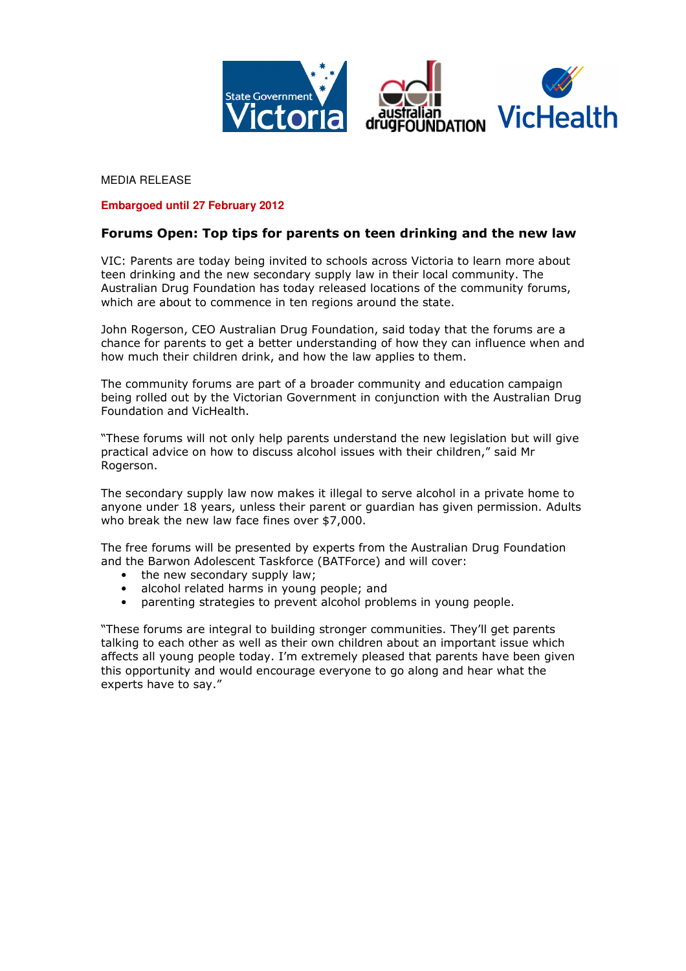

MEDIA RELEASE

## **Embargoed until 27 February 2012**

## Forums Open: Top tips for parents on teen drinking and the new law

VIC: Parents are today being invited to schools across Victoria to learn more about teen drinking and the new secondary supply law in their local community. The Australian Drug Foundation has today released locations of the community forums, which are about to commence in ten regions around the state.

John Rogerson, CEO Australian Drug Foundation, said today that the forums are a chance for parents to get a better understanding of how they can influence when and how much their children drink, and how the law applies to them.

The community forums are part of a broader community and education campaign being rolled out by the Victorian Government in conjunction with the Australian Drug Foundation and VicHealth.

"These forums will not only help parents understand the new legislation but will give practical advice on how to discuss alcohol issues with their children," said Mr Rogerson.

The secondary supply law now makes it illegal to serve alcohol in a private home to anyone under 18 years, unless their parent or guardian has given permission. Adults who break the new law face fines over \$7,000.

The free forums will be presented by experts from the Australian Drug Foundation and the Barwon Adolescent Taskforce (BATForce) and will cover:

- the new secondary supply law;
- alcohol related harms in young people; and
- parenting strategies to prevent alcohol problems in young people.

"These forums are integral to building stronger communities. They'll get parents talking to each other as well as their own children about an important issue which affects all young people today. I'm extremely pleased that parents have been given this opportunity and would encourage everyone to go along and hear what the experts have to say."